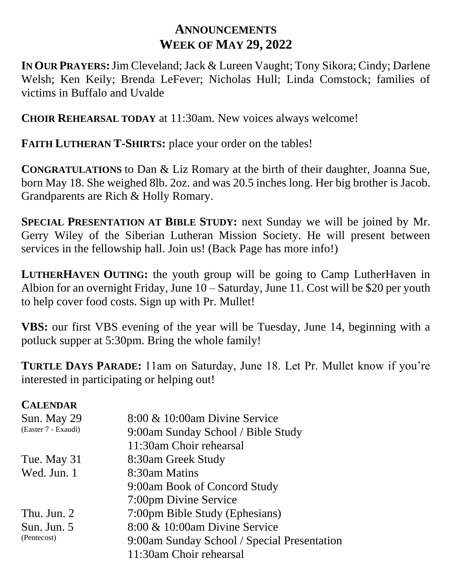## **ANNOUNCEMENTS WEEK OF MAY 29, 2022**

**IN OUR PRAYERS:**Jim Cleveland; Jack & Lureen Vaught; Tony Sikora; Cindy; Darlene Welsh; Ken Keily; Brenda LeFever; Nicholas Hull; Linda Comstock; families of victims in Buffalo and Uvalde

**CHOIR REHEARSAL TODAY** at 11:30am. New voices always welcome!

**FAITH LUTHERAN T-SHIRTS:** place your order on the tables!

**CONGRATULATIONS** to Dan & Liz Romary at the birth of their daughter, Joanna Sue, born May 18. She weighed 8lb. 2oz. and was 20.5 inches long. Her big brother is Jacob. Grandparents are Rich & Holly Romary.

**SPECIAL PRESENTATION AT BIBLE STUDY:** next Sunday we will be joined by Mr. Gerry Wiley of the Siberian Lutheran Mission Society. He will present between services in the fellowship hall. Join us! (Back Page has more info!)

**LUTHERHAVEN OUTING:** the youth group will be going to Camp LutherHaven in Albion for an overnight Friday, June 10 – Saturday, June 11. Cost will be \$20 per youth to help cover food costs. Sign up with Pr. Mullet!

**VBS:** our first VBS evening of the year will be Tuesday, June 14, beginning with a potluck supper at 5:30pm. Bring the whole family!

**TURTLE DAYS PARADE:** 11am on Saturday, June 18. Let Pr. Mullet know if you're interested in participating or helping out!

## **CALENDAR**

| Sun. May 29                | 8:00 & 10:00am Divine Service               |
|----------------------------|---------------------------------------------|
| (Easter 7 - Exaudi)        | 9:00am Sunday School / Bible Study          |
|                            | 11:30am Choir rehearsal                     |
| Tue. May 31                | 8:30am Greek Study                          |
| Wed. Jun. 1                | 8:30am Matins                               |
|                            | 9:00am Book of Concord Study                |
|                            | 7:00pm Divine Service                       |
| Thu. Jun. 2                | 7:00pm Bible Study (Ephesians)              |
| Sun. Jun. 5<br>(Pentecost) | 8:00 & 10:00am Divine Service               |
|                            | 9:00am Sunday School / Special Presentation |
|                            | 11:30am Choir rehearsal                     |